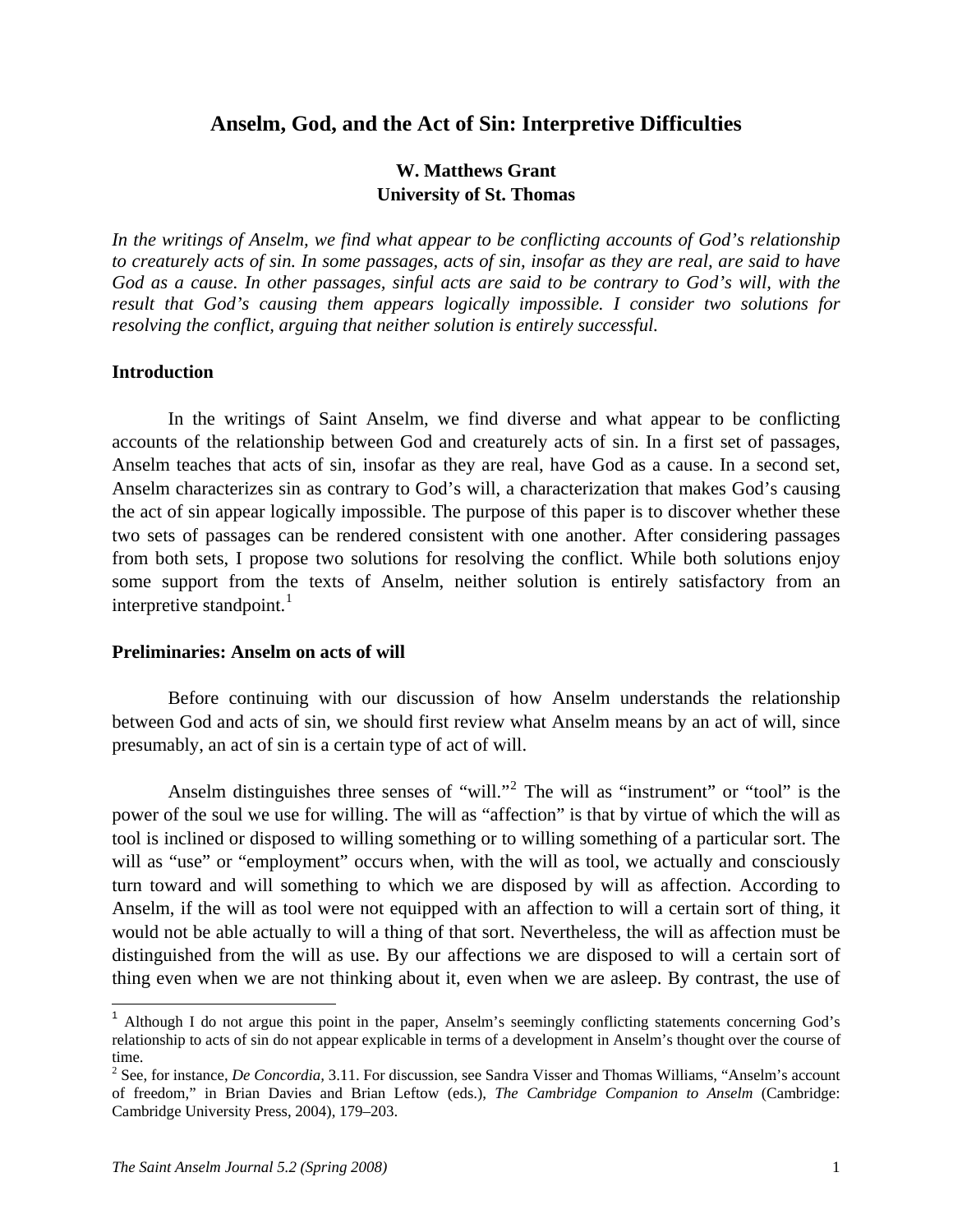# **Anselm, God, and the Act of Sin: Interpretive Difficulties**

# **W. Matthews Grant University of St. Thomas**

*In the writings of Anselm, we find what appear to be conflicting accounts of God's relationship to creaturely acts of sin. In some passages, acts of sin, insofar as they are real, are said to have God as a cause. In other passages, sinful acts are said to be contrary to God's will, with the result that God's causing them appears logically impossible. I consider two solutions for resolving the conflict, arguing that neither solution is entirely successful.* 

### **Introduction**

 In the writings of Saint Anselm, we find diverse and what appear to be conflicting accounts of the relationship between God and creaturely acts of sin. In a first set of passages, Anselm teaches that acts of sin, insofar as they are real, have God as a cause. In a second set, Anselm characterizes sin as contrary to God's will, a characterization that makes God's causing the act of sin appear logically impossible. The purpose of this paper is to discover whether these two sets of passages can be rendered consistent with one another. After considering passages from both sets, I propose two solutions for resolving the conflict. While both solutions enjoy some support from the texts of Anselm, neither solution is entirely satisfactory from an interpretive standpoint. $<sup>1</sup>$  $<sup>1</sup>$  $<sup>1</sup>$ </sup>

### **Preliminaries: Anselm on acts of will**

 Before continuing with our discussion of how Anselm understands the relationship between God and acts of sin, we should first review what Anselm means by an act of will, since presumably, an act of sin is a certain type of act of will.

Anselm distinguishes three senses of "will."<sup>[2](#page-0-1)</sup> The will as "instrument" or "tool" is the power of the soul we use for willing. The will as "affection" is that by virtue of which the will as tool is inclined or disposed to willing something or to willing something of a particular sort. The will as "use" or "employment" occurs when, with the will as tool, we actually and consciously turn toward and will something to which we are disposed by will as affection. According to Anselm, if the will as tool were not equipped with an affection to will a certain sort of thing, it would not be able actually to will a thing of that sort. Nevertheless, the will as affection must be distinguished from the will as use. By our affections we are disposed to will a certain sort of thing even when we are not thinking about it, even when we are asleep. By contrast, the use of

<span id="page-0-0"></span><sup>&</sup>lt;sup>1</sup> Although I do not argue this point in the paper, Anselm's seemingly conflicting statements concerning God's relationship to acts of sin do not appear explicable in terms of a development in Anselm's thought over the course of time.

<span id="page-0-1"></span><sup>2</sup> See, for instance, *De Concordia,* 3.11. For discussion, see Sandra Visser and Thomas Williams, "Anselm's account of freedom," in Brian Davies and Brian Leftow (eds.), *The Cambridge Companion to Anselm* (Cambridge: Cambridge University Press, 2004), 179–203.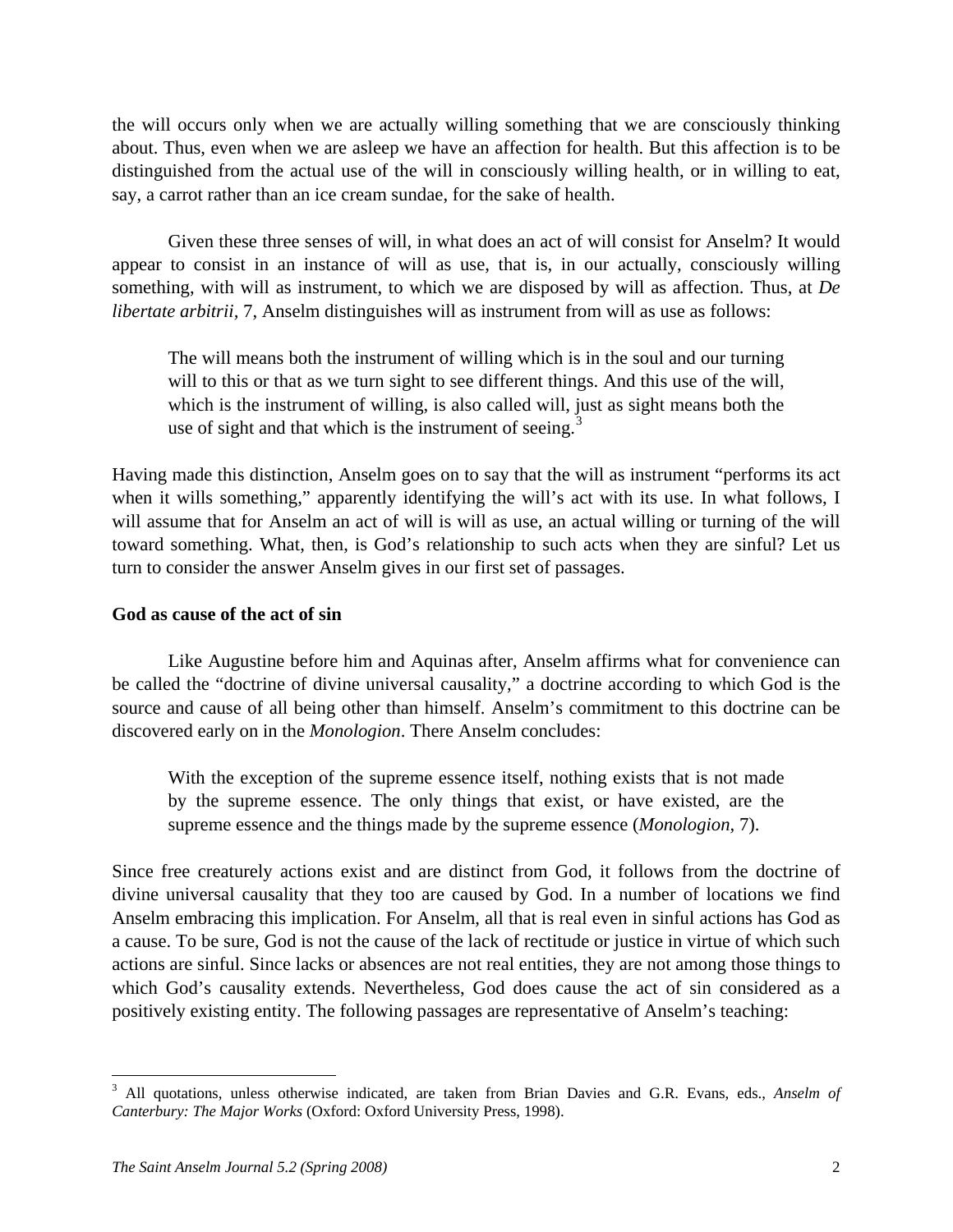the will occurs only when we are actually willing something that we are consciously thinking about. Thus, even when we are asleep we have an affection for health. But this affection is to be distinguished from the actual use of the will in consciously willing health, or in willing to eat, say, a carrot rather than an ice cream sundae, for the sake of health.

 Given these three senses of will, in what does an act of will consist for Anselm? It would appear to consist in an instance of will as use, that is, in our actually, consciously willing something, with will as instrument, to which we are disposed by will as affection. Thus, at *De libertate arbitrii,* 7, Anselm distinguishes will as instrument from will as use as follows:

The will means both the instrument of willing which is in the soul and our turning will to this or that as we turn sight to see different things. And this use of the will, which is the instrument of willing, is also called will, just as sight means both the use of sight and that which is the instrument of seeing. $3$ 

Having made this distinction, Anselm goes on to say that the will as instrument "performs its act when it wills something," apparently identifying the will's act with its use. In what follows, I will assume that for Anselm an act of will is will as use, an actual willing or turning of the will toward something. What, then, is God's relationship to such acts when they are sinful? Let us turn to consider the answer Anselm gives in our first set of passages.

## **God as cause of the act of sin**

 Like Augustine before him and Aquinas after, Anselm affirms what for convenience can be called the "doctrine of divine universal causality," a doctrine according to which God is the source and cause of all being other than himself. Anselm's commitment to this doctrine can be discovered early on in the *Monologion*. There Anselm concludes:

With the exception of the supreme essence itself, nothing exists that is not made by the supreme essence. The only things that exist, or have existed, are the supreme essence and the things made by the supreme essence (*Monologion,* 7).

Since free creaturely actions exist and are distinct from God, it follows from the doctrine of divine universal causality that they too are caused by God. In a number of locations we find Anselm embracing this implication. For Anselm, all that is real even in sinful actions has God as a cause. To be sure, God is not the cause of the lack of rectitude or justice in virtue of which such actions are sinful. Since lacks or absences are not real entities, they are not among those things to which God's causality extends. Nevertheless, God does cause the act of sin considered as a positively existing entity. The following passages are representative of Anselm's teaching:

<span id="page-1-0"></span> 3 All quotations, unless otherwise indicated, are taken from Brian Davies and G.R. Evans, eds., *Anselm of Canterbury: The Major Works* (Oxford: Oxford University Press, 1998).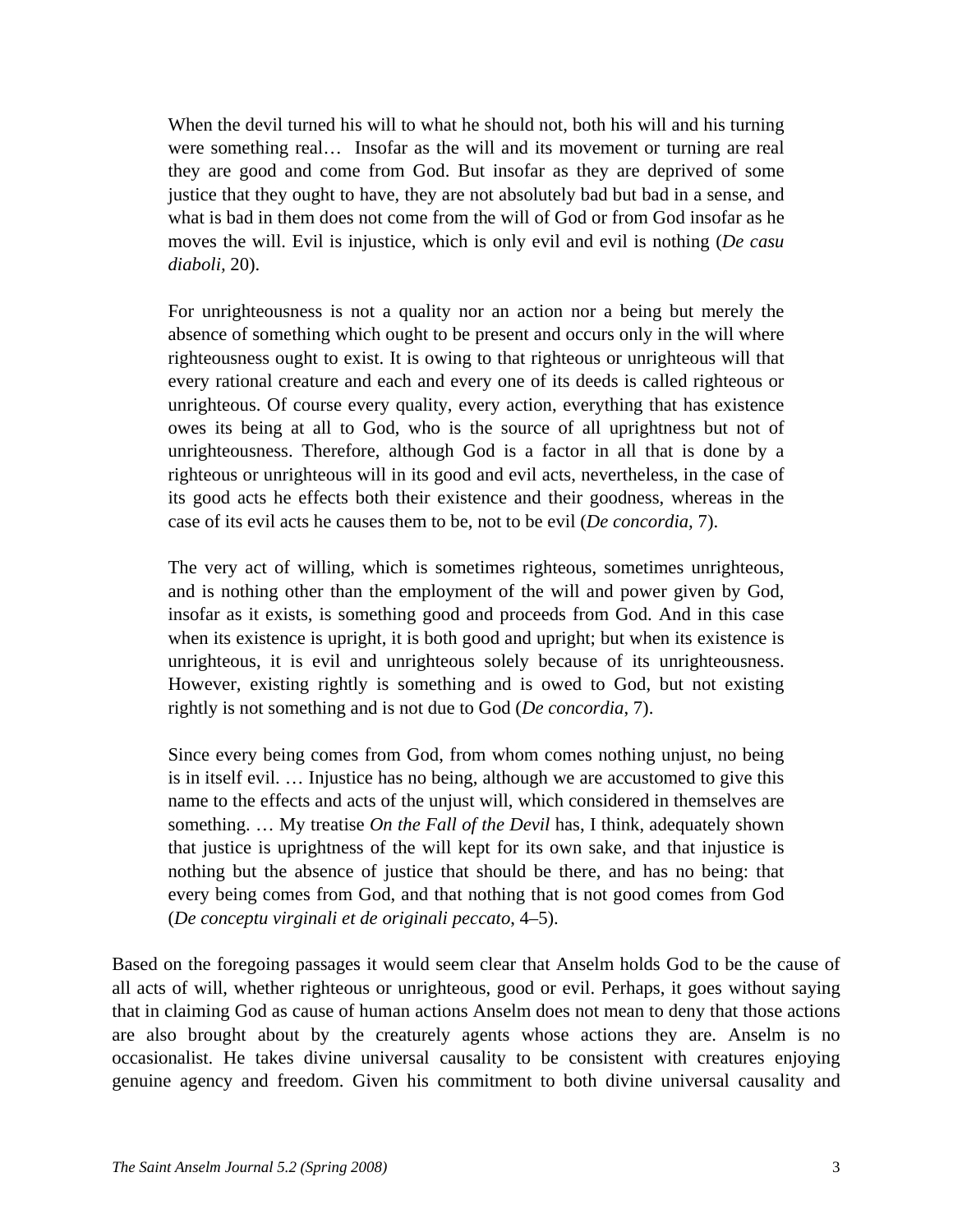When the devil turned his will to what he should not, both his will and his turning were something real… Insofar as the will and its movement or turning are real they are good and come from God. But insofar as they are deprived of some justice that they ought to have, they are not absolutely bad but bad in a sense, and what is bad in them does not come from the will of God or from God insofar as he moves the will. Evil is injustice, which is only evil and evil is nothing (*De casu diaboli,* 20).

For unrighteousness is not a quality nor an action nor a being but merely the absence of something which ought to be present and occurs only in the will where righteousness ought to exist. It is owing to that righteous or unrighteous will that every rational creature and each and every one of its deeds is called righteous or unrighteous. Of course every quality, every action, everything that has existence owes its being at all to God, who is the source of all uprightness but not of unrighteousness. Therefore, although God is a factor in all that is done by a righteous or unrighteous will in its good and evil acts, nevertheless, in the case of its good acts he effects both their existence and their goodness, whereas in the case of its evil acts he causes them to be, not to be evil (*De concordia,* 7).

The very act of willing, which is sometimes righteous, sometimes unrighteous, and is nothing other than the employment of the will and power given by God, insofar as it exists, is something good and proceeds from God. And in this case when its existence is upright, it is both good and upright; but when its existence is unrighteous, it is evil and unrighteous solely because of its unrighteousness. However, existing rightly is something and is owed to God, but not existing rightly is not something and is not due to God (*De concordia*, 7).

Since every being comes from God, from whom comes nothing unjust, no being is in itself evil. … Injustice has no being, although we are accustomed to give this name to the effects and acts of the unjust will, which considered in themselves are something. … My treatise *On the Fall of the Devil* has, I think, adequately shown that justice is uprightness of the will kept for its own sake, and that injustice is nothing but the absence of justice that should be there, and has no being: that every being comes from God, and that nothing that is not good comes from God (*De conceptu virginali et de originali peccato*, 4–5).

Based on the foregoing passages it would seem clear that Anselm holds God to be the cause of all acts of will, whether righteous or unrighteous, good or evil. Perhaps, it goes without saying that in claiming God as cause of human actions Anselm does not mean to deny that those actions are also brought about by the creaturely agents whose actions they are. Anselm is no occasionalist. He takes divine universal causality to be consistent with creatures enjoying genuine agency and freedom. Given his commitment to both divine universal causality and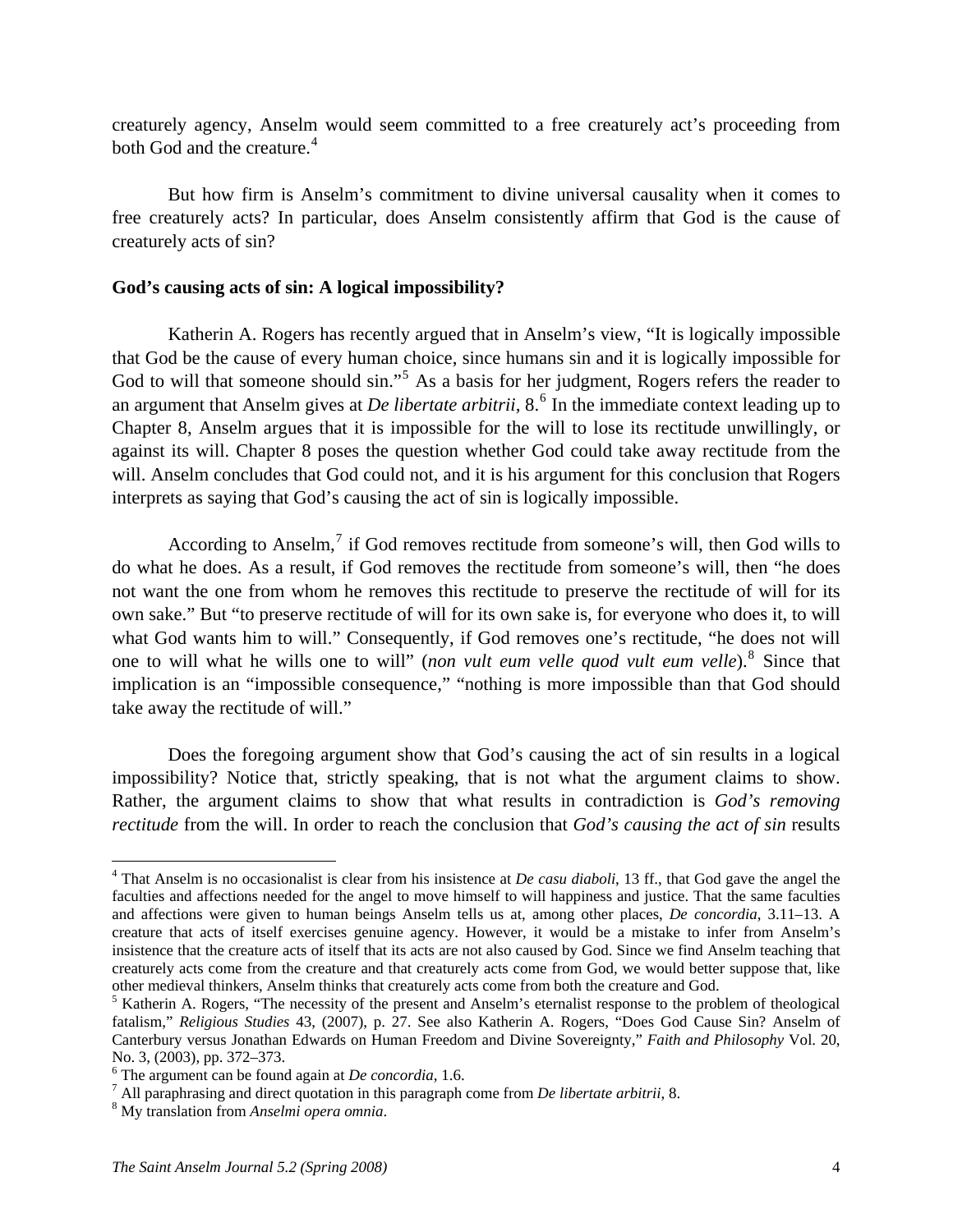creaturely agency, Anselm would seem committed to a free creaturely act's proceeding from both God and the creature.<sup>[4](#page-3-0)</sup>

 But how firm is Anselm's commitment to divine universal causality when it comes to free creaturely acts? In particular, does Anselm consistently affirm that God is the cause of creaturely acts of sin?

#### **God's causing acts of sin: A logical impossibility?**

 Katherin A. Rogers has recently argued that in Anselm's view, "It is logically impossible that God be the cause of every human choice, since humans sin and it is logically impossible for God to will that someone should sin."<sup>[5](#page-3-1)</sup> As a basis for her judgment, Rogers refers the reader to an argument that Anselm gives at *De libertate arbitrii*, 8.<sup>[6](#page-3-2)</sup> In the immediate context leading up to Chapter 8, Anselm argues that it is impossible for the will to lose its rectitude unwillingly, or against its will. Chapter 8 poses the question whether God could take away rectitude from the will. Anselm concludes that God could not, and it is his argument for this conclusion that Rogers interprets as saying that God's causing the act of sin is logically impossible.

According to Anselm, $7$  if God removes rectitude from someone's will, then God wills to do what he does. As a result, if God removes the rectitude from someone's will, then "he does not want the one from whom he removes this rectitude to preserve the rectitude of will for its own sake." But "to preserve rectitude of will for its own sake is, for everyone who does it, to will what God wants him to will." Consequently, if God removes one's rectitude, "he does not will one to will what he wills one to will" (*non vult eum velle quod vult eum velle*).<sup>[8](#page-3-4)</sup> Since that implication is an "impossible consequence," "nothing is more impossible than that God should take away the rectitude of will."

 Does the foregoing argument show that God's causing the act of sin results in a logical impossibility? Notice that, strictly speaking, that is not what the argument claims to show. Rather, the argument claims to show that what results in contradiction is *God's removing rectitude* from the will. In order to reach the conclusion that *God's causing the act of sin* results

<span id="page-3-0"></span><sup>&</sup>lt;sup>4</sup> That Anselm is no occasionalist is clear from his insistence at *De casu diaboli*, 13 ff., that God gave the angel the faculties and affections needed for the angel to move himself to will happiness and justice. That the same faculties and affections were given to human beings Anselm tells us at, among other places, *De concordia*, 3.11–13. A creature that acts of itself exercises genuine agency. However, it would be a mistake to infer from Anselm's insistence that the creature acts of itself that its acts are not also caused by God. Since we find Anselm teaching that creaturely acts come from the creature and that creaturely acts come from God, we would better suppose that, like other medieval thinkers, Anselm thinks that creaturely acts come from both the creature and God. 5

<span id="page-3-1"></span><sup>&</sup>lt;sup>5</sup> Katherin A. Rogers, "The necessity of the present and Anselm's eternalist response to the problem of theological fatalism," *Religious Studies* 43, (2007), p. 27. See also Katherin A. Rogers, "Does God Cause Sin? Anselm of Canterbury versus Jonathan Edwards on Human Freedom and Divine Sovereignty," *Faith and Philosophy* Vol. 20, No. 3, (2003), pp. 372–373.

<span id="page-3-2"></span> $^6$  The argument can be found again at *De concordia*, 1.6.  $^7$  All persphasing and direct quotation in this personal  $^7$ 

<span id="page-3-3"></span> $^7$  All paraphrasing and direct quotation in this paragraph come from *De libertate arbitrii*, 8.

<span id="page-3-4"></span>My translation from *Anselmi opera omnia*.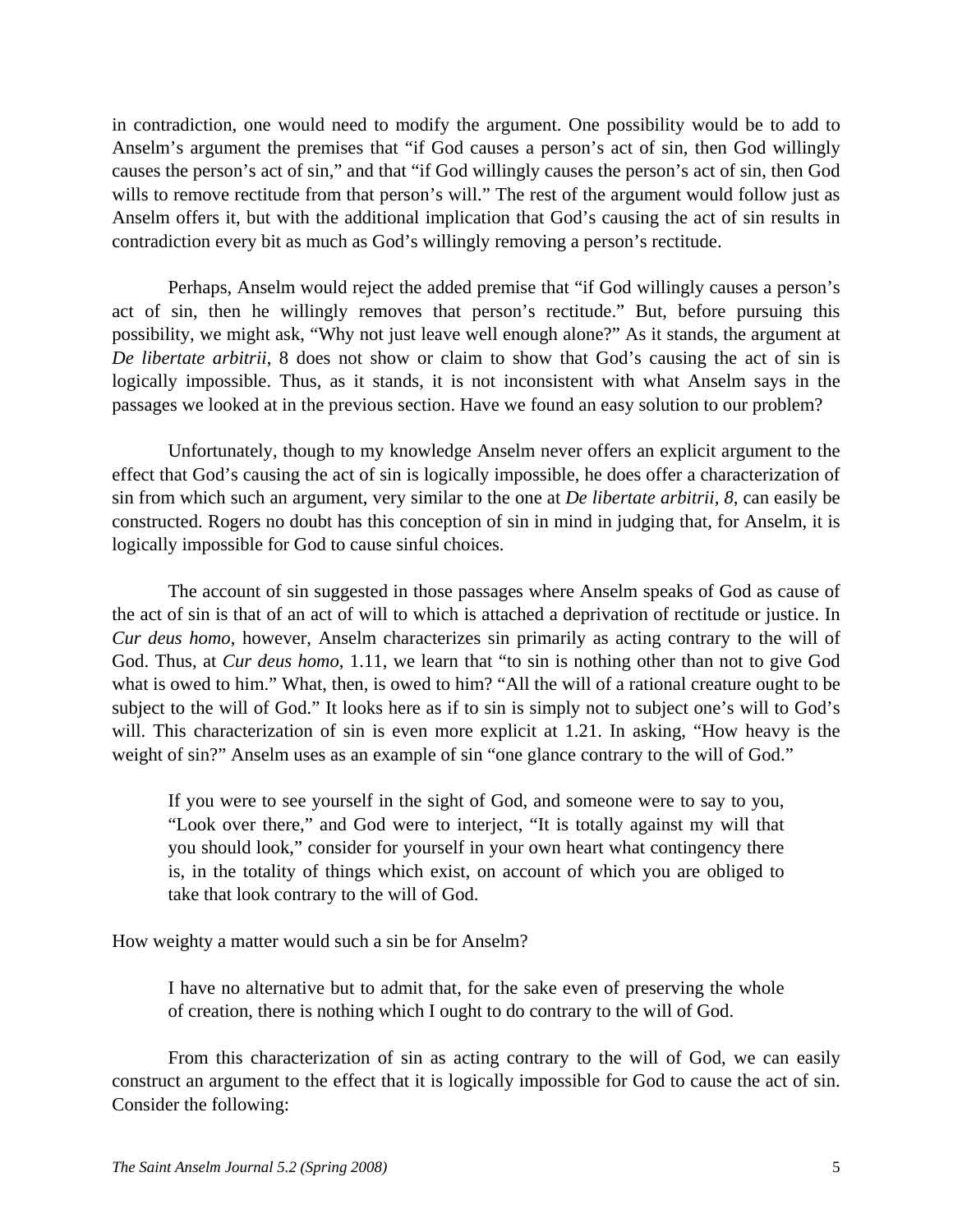in contradiction, one would need to modify the argument. One possibility would be to add to Anselm's argument the premises that "if God causes a person's act of sin, then God willingly causes the person's act of sin," and that "if God willingly causes the person's act of sin, then God wills to remove rectitude from that person's will." The rest of the argument would follow just as Anselm offers it, but with the additional implication that God's causing the act of sin results in contradiction every bit as much as God's willingly removing a person's rectitude.

 Perhaps, Anselm would reject the added premise that "if God willingly causes a person's act of sin, then he willingly removes that person's rectitude." But, before pursuing this possibility, we might ask, "Why not just leave well enough alone?" As it stands, the argument at *De libertate arbitrii*, 8 does not show or claim to show that God's causing the act of sin is logically impossible. Thus, as it stands, it is not inconsistent with what Anselm says in the passages we looked at in the previous section. Have we found an easy solution to our problem?

 Unfortunately, though to my knowledge Anselm never offers an explicit argument to the effect that God's causing the act of sin is logically impossible, he does offer a characterization of sin from which such an argument, very similar to the one at *De libertate arbitrii, 8*, can easily be constructed. Rogers no doubt has this conception of sin in mind in judging that, for Anselm, it is logically impossible for God to cause sinful choices.

 The account of sin suggested in those passages where Anselm speaks of God as cause of the act of sin is that of an act of will to which is attached a deprivation of rectitude or justice. In *Cur deus homo*, however, Anselm characterizes sin primarily as acting contrary to the will of God. Thus, at *Cur deus homo*, 1.11, we learn that "to sin is nothing other than not to give God what is owed to him." What, then, is owed to him? "All the will of a rational creature ought to be subject to the will of God." It looks here as if to sin is simply not to subject one's will to God's will. This characterization of sin is even more explicit at 1.21. In asking, "How heavy is the weight of sin?" Anselm uses as an example of sin "one glance contrary to the will of God."

If you were to see yourself in the sight of God, and someone were to say to you, "Look over there," and God were to interject, "It is totally against my will that you should look," consider for yourself in your own heart what contingency there is, in the totality of things which exist, on account of which you are obliged to take that look contrary to the will of God.

How weighty a matter would such a sin be for Anselm?

I have no alternative but to admit that, for the sake even of preserving the whole of creation, there is nothing which I ought to do contrary to the will of God.

 From this characterization of sin as acting contrary to the will of God, we can easily construct an argument to the effect that it is logically impossible for God to cause the act of sin. Consider the following: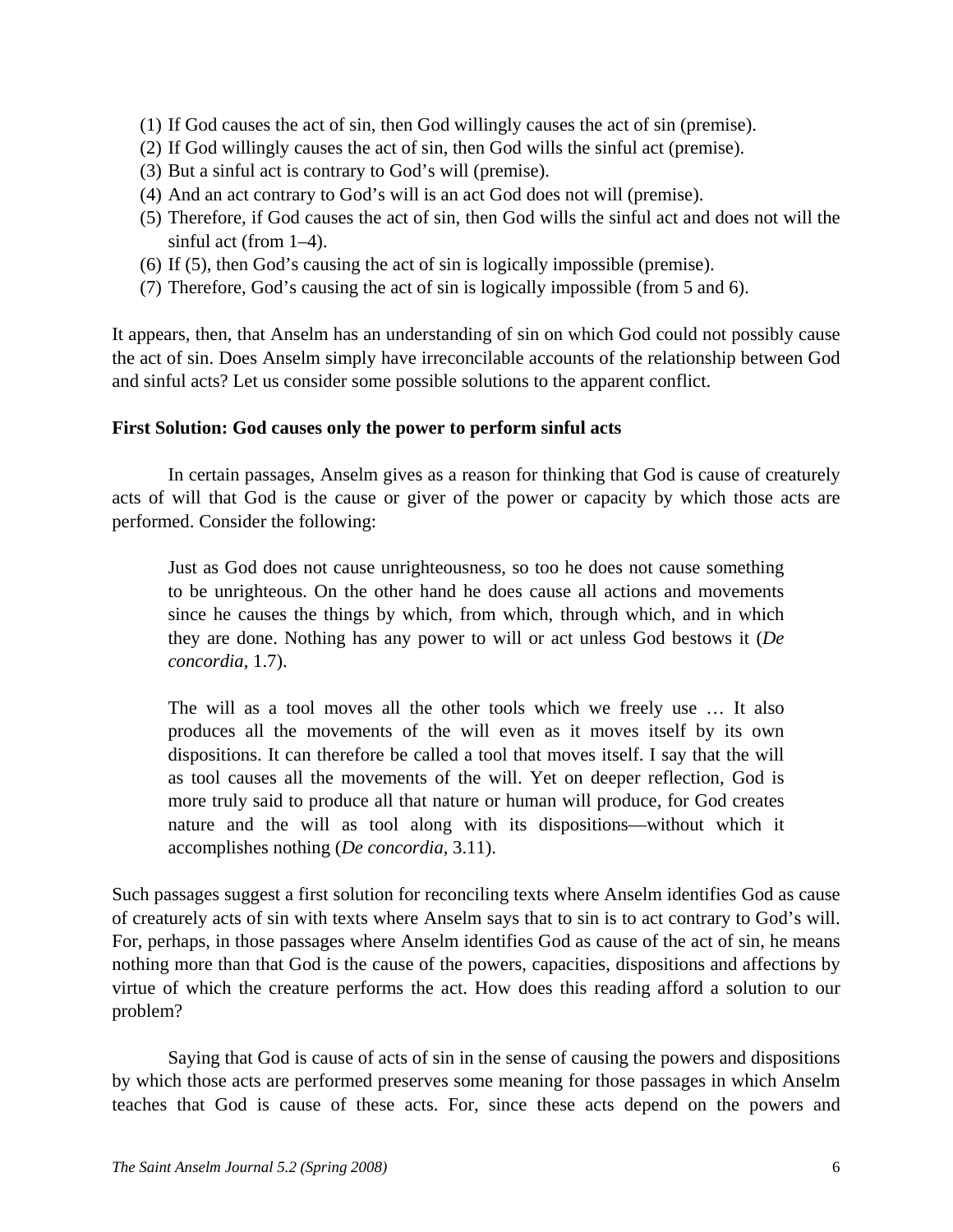- (1) If God causes the act of sin, then God willingly causes the act of sin (premise).
- (2) If God willingly causes the act of sin, then God wills the sinful act (premise).
- (3) But a sinful act is contrary to God's will (premise).
- (4) And an act contrary to God's will is an act God does not will (premise).
- (5) Therefore, if God causes the act of sin, then God wills the sinful act and does not will the sinful act (from 1–4).
- (6) If (5), then God's causing the act of sin is logically impossible (premise).
- (7) Therefore, God's causing the act of sin is logically impossible (from 5 and 6).

It appears, then, that Anselm has an understanding of sin on which God could not possibly cause the act of sin. Does Anselm simply have irreconcilable accounts of the relationship between God and sinful acts? Let us consider some possible solutions to the apparent conflict.

## **First Solution: God causes only the power to perform sinful acts**

 In certain passages, Anselm gives as a reason for thinking that God is cause of creaturely acts of will that God is the cause or giver of the power or capacity by which those acts are performed. Consider the following:

Just as God does not cause unrighteousness, so too he does not cause something to be unrighteous. On the other hand he does cause all actions and movements since he causes the things by which, from which, through which, and in which they are done. Nothing has any power to will or act unless God bestows it (*De concordia*, 1.7).

The will as a tool moves all the other tools which we freely use … It also produces all the movements of the will even as it moves itself by its own dispositions. It can therefore be called a tool that moves itself. I say that the will as tool causes all the movements of the will. Yet on deeper reflection, God is more truly said to produce all that nature or human will produce, for God creates nature and the will as tool along with its dispositions—without which it accomplishes nothing (*De concordia*, 3.11).

Such passages suggest a first solution for reconciling texts where Anselm identifies God as cause of creaturely acts of sin with texts where Anselm says that to sin is to act contrary to God's will. For, perhaps, in those passages where Anselm identifies God as cause of the act of sin, he means nothing more than that God is the cause of the powers, capacities, dispositions and affections by virtue of which the creature performs the act. How does this reading afford a solution to our problem?

 Saying that God is cause of acts of sin in the sense of causing the powers and dispositions by which those acts are performed preserves some meaning for those passages in which Anselm teaches that God is cause of these acts. For, since these acts depend on the powers and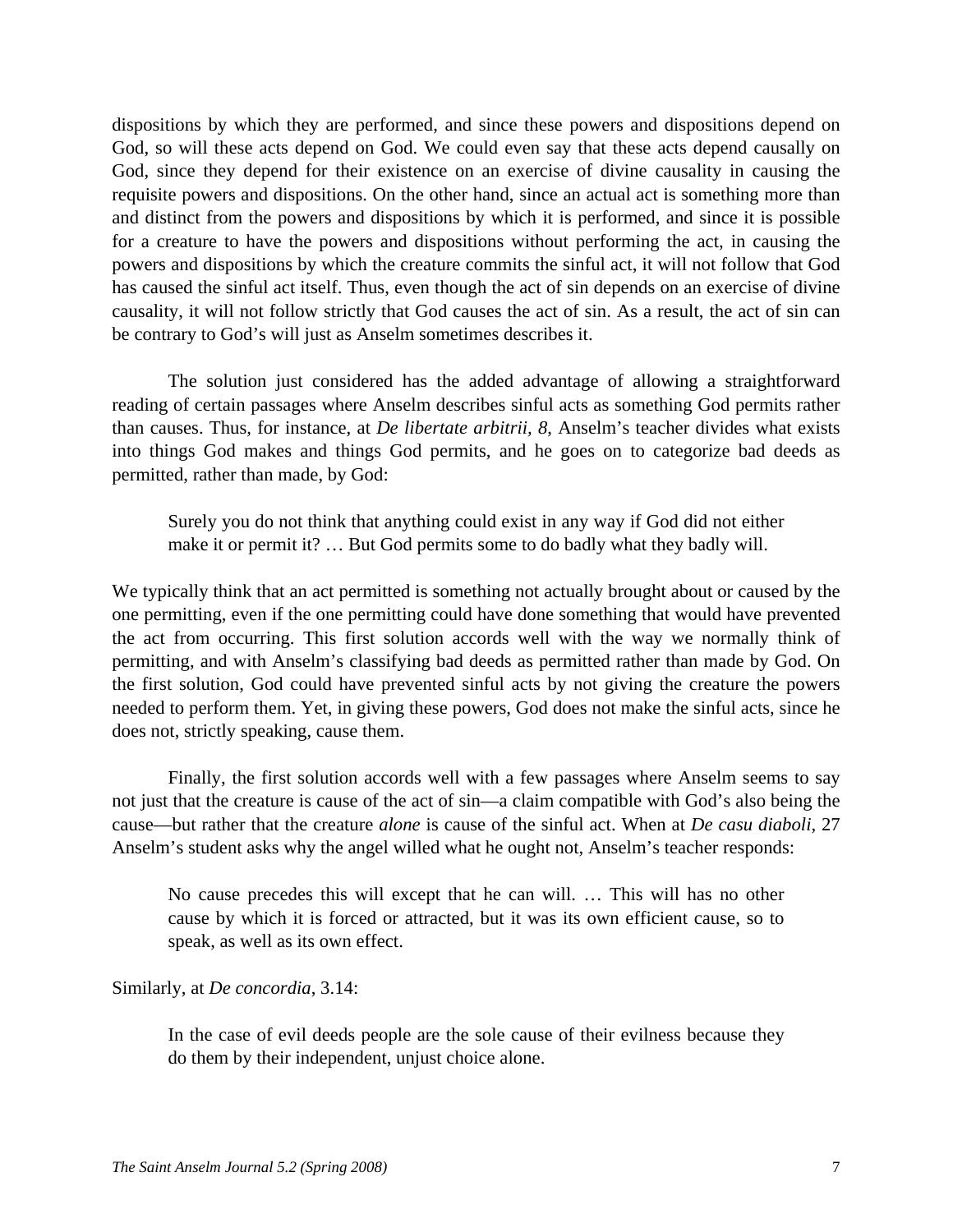dispositions by which they are performed, and since these powers and dispositions depend on God, so will these acts depend on God. We could even say that these acts depend causally on God, since they depend for their existence on an exercise of divine causality in causing the requisite powers and dispositions. On the other hand, since an actual act is something more than and distinct from the powers and dispositions by which it is performed, and since it is possible for a creature to have the powers and dispositions without performing the act, in causing the powers and dispositions by which the creature commits the sinful act, it will not follow that God has caused the sinful act itself. Thus, even though the act of sin depends on an exercise of divine causality, it will not follow strictly that God causes the act of sin. As a result, the act of sin can be contrary to God's will just as Anselm sometimes describes it.

 The solution just considered has the added advantage of allowing a straightforward reading of certain passages where Anselm describes sinful acts as something God permits rather than causes. Thus, for instance, at *De libertate arbitrii, 8*, Anselm's teacher divides what exists into things God makes and things God permits, and he goes on to categorize bad deeds as permitted, rather than made, by God:

Surely you do not think that anything could exist in any way if God did not either make it or permit it? ... But God permits some to do badly what they badly will.

We typically think that an act permitted is something not actually brought about or caused by the one permitting, even if the one permitting could have done something that would have prevented the act from occurring. This first solution accords well with the way we normally think of permitting, and with Anselm's classifying bad deeds as permitted rather than made by God. On the first solution, God could have prevented sinful acts by not giving the creature the powers needed to perform them. Yet, in giving these powers, God does not make the sinful acts, since he does not, strictly speaking, cause them.

 Finally, the first solution accords well with a few passages where Anselm seems to say not just that the creature is cause of the act of sin—a claim compatible with God's also being the cause—but rather that the creature *alone* is cause of the sinful act. When at *De casu diaboli*, 27 Anselm's student asks why the angel willed what he ought not, Anselm's teacher responds:

No cause precedes this will except that he can will. … This will has no other cause by which it is forced or attracted, but it was its own efficient cause, so to speak, as well as its own effect.

### Similarly, at *De concordia*, 3.14:

In the case of evil deeds people are the sole cause of their evilness because they do them by their independent, unjust choice alone.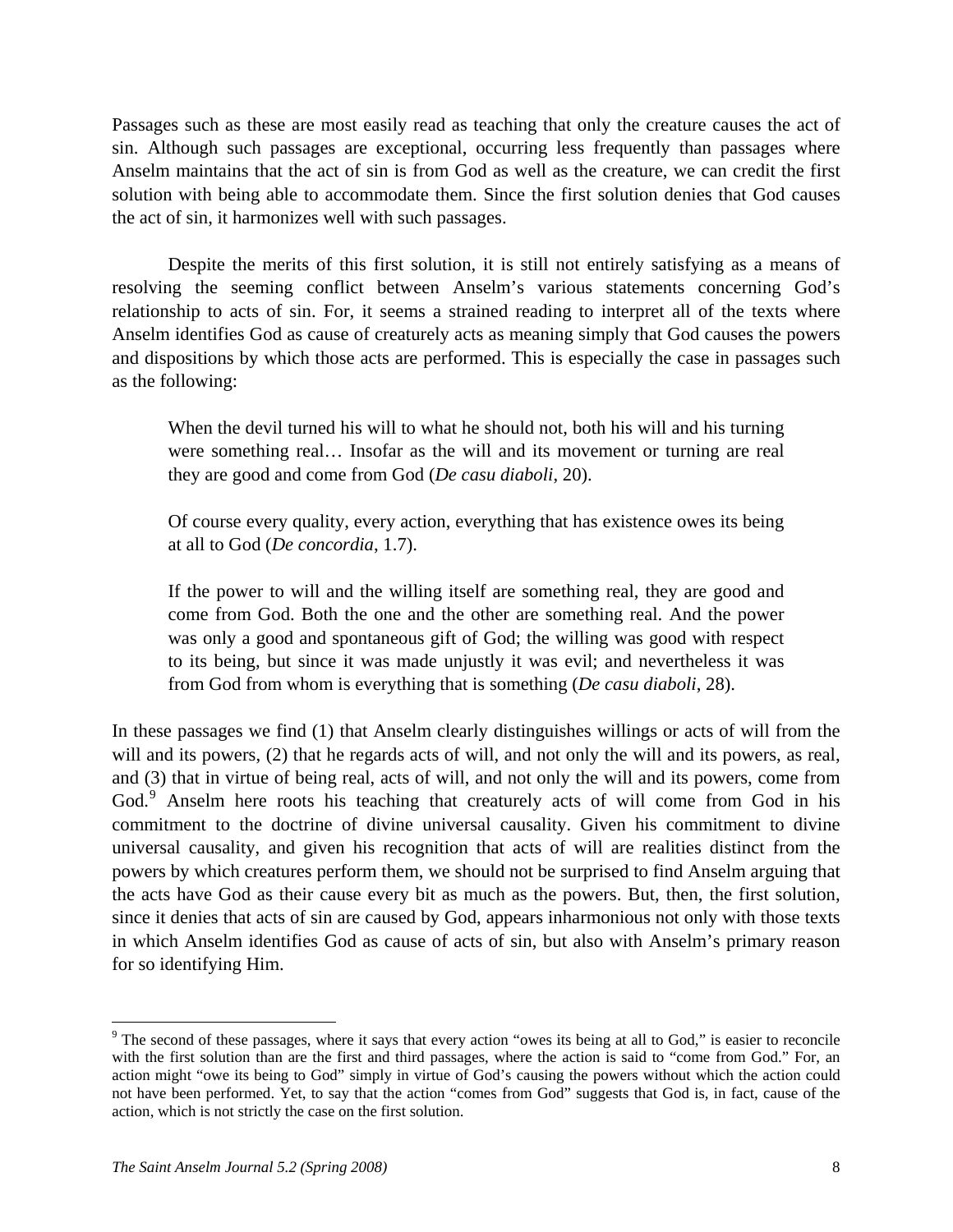Passages such as these are most easily read as teaching that only the creature causes the act of sin. Although such passages are exceptional, occurring less frequently than passages where Anselm maintains that the act of sin is from God as well as the creature, we can credit the first solution with being able to accommodate them. Since the first solution denies that God causes the act of sin, it harmonizes well with such passages.

 Despite the merits of this first solution, it is still not entirely satisfying as a means of resolving the seeming conflict between Anselm's various statements concerning God's relationship to acts of sin. For, it seems a strained reading to interpret all of the texts where Anselm identifies God as cause of creaturely acts as meaning simply that God causes the powers and dispositions by which those acts are performed. This is especially the case in passages such as the following:

When the devil turned his will to what he should not, both his will and his turning were something real… Insofar as the will and its movement or turning are real they are good and come from God (*De casu diaboli*, 20).

Of course every quality, every action, everything that has existence owes its being at all to God (*De concordia*, 1.7).

If the power to will and the willing itself are something real, they are good and come from God. Both the one and the other are something real. And the power was only a good and spontaneous gift of God; the willing was good with respect to its being, but since it was made unjustly it was evil; and nevertheless it was from God from whom is everything that is something (*De casu diaboli*, 28).

In these passages we find (1) that Anselm clearly distinguishes willings or acts of will from the will and its powers, (2) that he regards acts of will, and not only the will and its powers, as real, and (3) that in virtue of being real, acts of will, and not only the will and its powers, come from God.<sup>[9](#page-7-0)</sup> Anselm here roots his teaching that creaturely acts of will come from God in his commitment to the doctrine of divine universal causality. Given his commitment to divine universal causality, and given his recognition that acts of will are realities distinct from the powers by which creatures perform them, we should not be surprised to find Anselm arguing that the acts have God as their cause every bit as much as the powers. But, then, the first solution, since it denies that acts of sin are caused by God, appears inharmonious not only with those texts in which Anselm identifies God as cause of acts of sin, but also with Anselm's primary reason for so identifying Him.

 $\overline{a}$ 

<span id="page-7-0"></span><sup>&</sup>lt;sup>9</sup> The second of these passages, where it says that every action "owes its being at all to God," is easier to reconcile with the first solution than are the first and third passages, where the action is said to "come from God." For, an action might "owe its being to God" simply in virtue of God's causing the powers without which the action could not have been performed. Yet, to say that the action "comes from God" suggests that God is, in fact, cause of the action, which is not strictly the case on the first solution.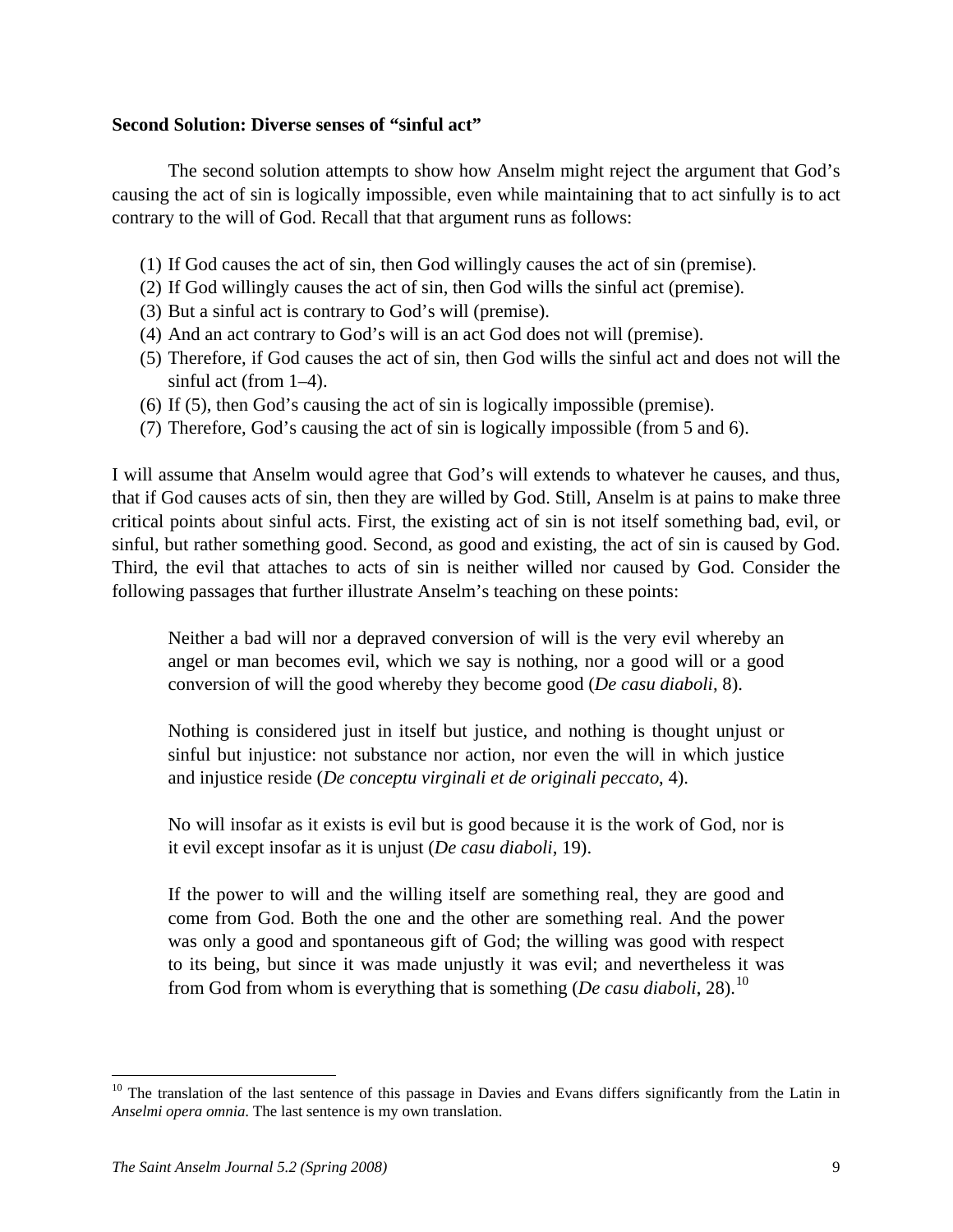### **Second Solution: Diverse senses of "sinful act"**

 The second solution attempts to show how Anselm might reject the argument that God's causing the act of sin is logically impossible, even while maintaining that to act sinfully is to act contrary to the will of God. Recall that that argument runs as follows:

- (1) If God causes the act of sin, then God willingly causes the act of sin (premise).
- (2) If God willingly causes the act of sin, then God wills the sinful act (premise).
- (3) But a sinful act is contrary to God's will (premise).
- (4) And an act contrary to God's will is an act God does not will (premise).
- (5) Therefore, if God causes the act of sin, then God wills the sinful act and does not will the sinful act (from 1–4).
- (6) If (5), then God's causing the act of sin is logically impossible (premise).
- (7) Therefore, God's causing the act of sin is logically impossible (from 5 and 6).

I will assume that Anselm would agree that God's will extends to whatever he causes, and thus, that if God causes acts of sin, then they are willed by God. Still, Anselm is at pains to make three critical points about sinful acts. First, the existing act of sin is not itself something bad, evil, or sinful, but rather something good. Second, as good and existing, the act of sin is caused by God. Third, the evil that attaches to acts of sin is neither willed nor caused by God. Consider the following passages that further illustrate Anselm's teaching on these points:

Neither a bad will nor a depraved conversion of will is the very evil whereby an angel or man becomes evil, which we say is nothing, nor a good will or a good conversion of will the good whereby they become good (*De casu diaboli*, 8).

Nothing is considered just in itself but justice, and nothing is thought unjust or sinful but injustice: not substance nor action, nor even the will in which justice and injustice reside (*De conceptu virginali et de originali peccato*, 4).

No will insofar as it exists is evil but is good because it is the work of God, nor is it evil except insofar as it is unjust (*De casu diaboli*, 19).

If the power to will and the willing itself are something real, they are good and come from God. Both the one and the other are something real. And the power was only a good and spontaneous gift of God; the willing was good with respect to its being, but since it was made unjustly it was evil; and nevertheless it was from God from whom is everything that is something (*De casu diaboli*, 28).<sup>[10](#page-8-0)</sup>

 $\overline{a}$ 

<span id="page-8-0"></span><sup>&</sup>lt;sup>10</sup> The translation of the last sentence of this passage in Davies and Evans differs significantly from the Latin in *Anselmi opera omnia*. The last sentence is my own translation.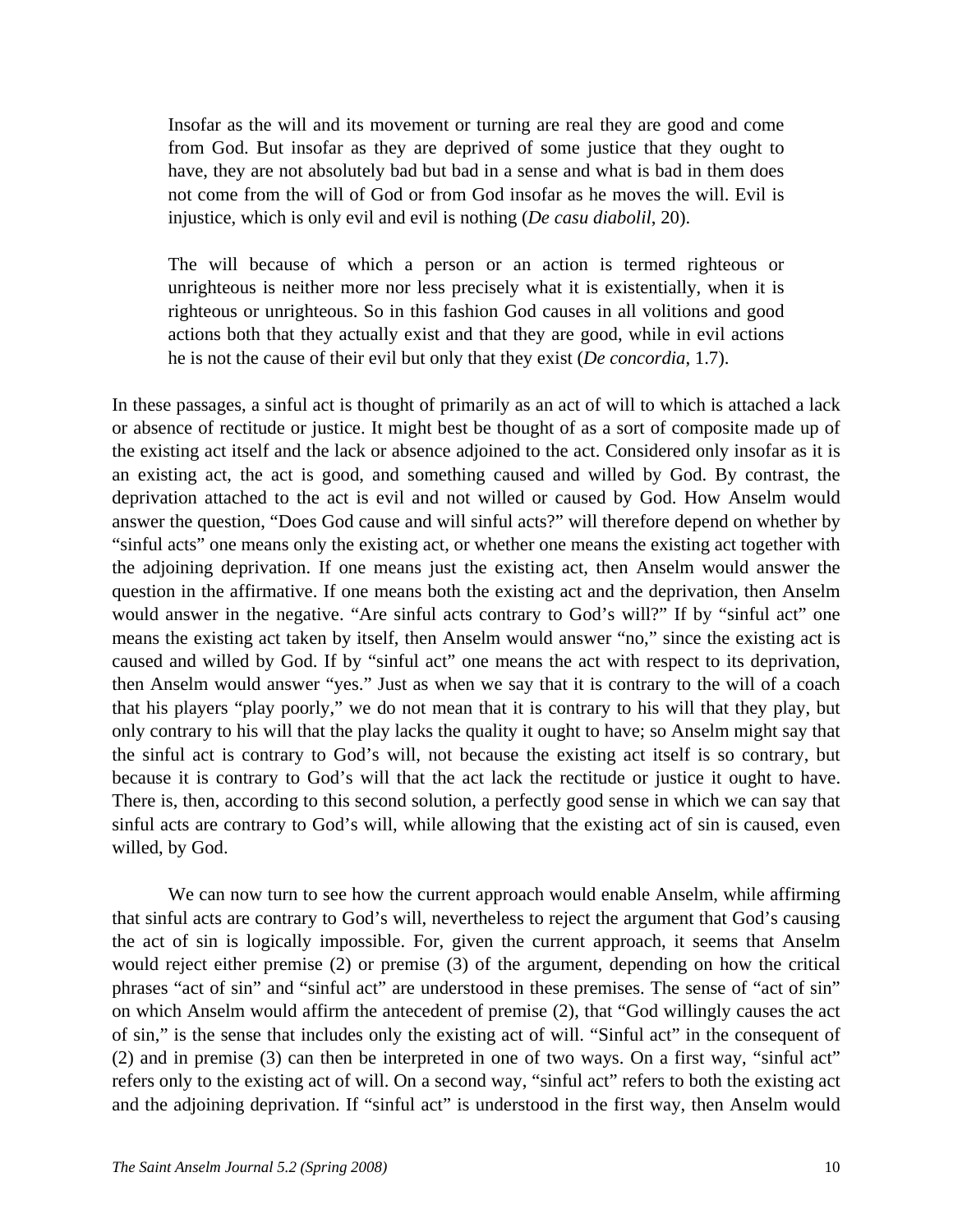Insofar as the will and its movement or turning are real they are good and come from God. But insofar as they are deprived of some justice that they ought to have, they are not absolutely bad but bad in a sense and what is bad in them does not come from the will of God or from God insofar as he moves the will. Evil is injustice, which is only evil and evil is nothing (*De casu diabolil*, 20).

The will because of which a person or an action is termed righteous or unrighteous is neither more nor less precisely what it is existentially, when it is righteous or unrighteous. So in this fashion God causes in all volitions and good actions both that they actually exist and that they are good, while in evil actions he is not the cause of their evil but only that they exist (*De concordia*, 1.7).

In these passages, a sinful act is thought of primarily as an act of will to which is attached a lack or absence of rectitude or justice. It might best be thought of as a sort of composite made up of the existing act itself and the lack or absence adjoined to the act. Considered only insofar as it is an existing act, the act is good, and something caused and willed by God. By contrast, the deprivation attached to the act is evil and not willed or caused by God. How Anselm would answer the question, "Does God cause and will sinful acts?" will therefore depend on whether by "sinful acts" one means only the existing act, or whether one means the existing act together with the adjoining deprivation. If one means just the existing act, then Anselm would answer the question in the affirmative. If one means both the existing act and the deprivation, then Anselm would answer in the negative. "Are sinful acts contrary to God's will?" If by "sinful act" one means the existing act taken by itself, then Anselm would answer "no," since the existing act is caused and willed by God. If by "sinful act" one means the act with respect to its deprivation, then Anselm would answer "yes." Just as when we say that it is contrary to the will of a coach that his players "play poorly," we do not mean that it is contrary to his will that they play, but only contrary to his will that the play lacks the quality it ought to have; so Anselm might say that the sinful act is contrary to God's will, not because the existing act itself is so contrary, but because it is contrary to God's will that the act lack the rectitude or justice it ought to have. There is, then, according to this second solution, a perfectly good sense in which we can say that sinful acts are contrary to God's will, while allowing that the existing act of sin is caused, even willed, by God.

 We can now turn to see how the current approach would enable Anselm, while affirming that sinful acts are contrary to God's will, nevertheless to reject the argument that God's causing the act of sin is logically impossible. For, given the current approach, it seems that Anselm would reject either premise (2) or premise (3) of the argument, depending on how the critical phrases "act of sin" and "sinful act" are understood in these premises. The sense of "act of sin" on which Anselm would affirm the antecedent of premise (2), that "God willingly causes the act of sin," is the sense that includes only the existing act of will. "Sinful act" in the consequent of (2) and in premise (3) can then be interpreted in one of two ways. On a first way, "sinful act" refers only to the existing act of will. On a second way, "sinful act" refers to both the existing act and the adjoining deprivation. If "sinful act" is understood in the first way, then Anselm would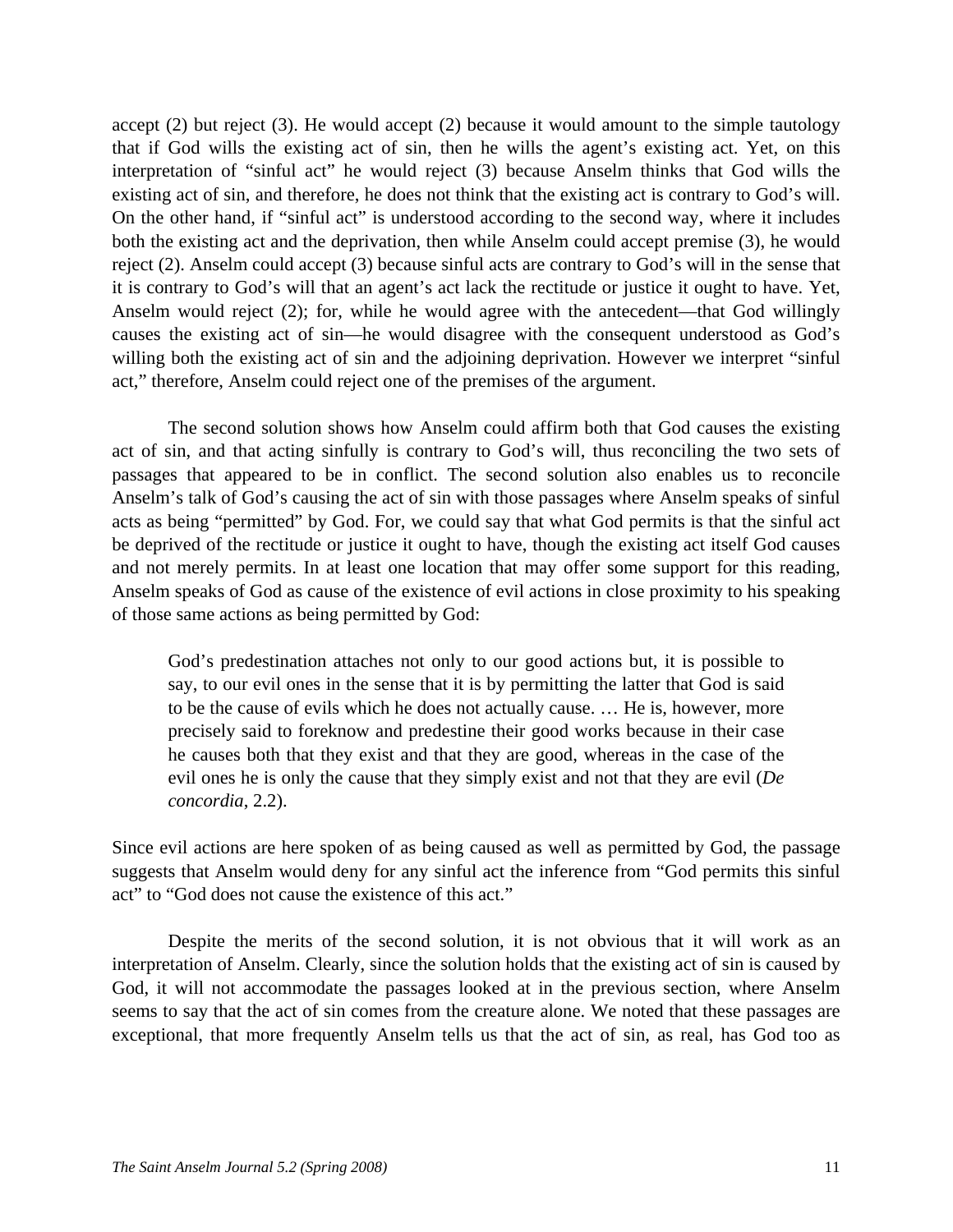accept (2) but reject (3). He would accept (2) because it would amount to the simple tautology that if God wills the existing act of sin, then he wills the agent's existing act. Yet, on this interpretation of "sinful act" he would reject (3) because Anselm thinks that God wills the existing act of sin, and therefore, he does not think that the existing act is contrary to God's will. On the other hand, if "sinful act" is understood according to the second way, where it includes both the existing act and the deprivation, then while Anselm could accept premise (3), he would reject (2). Anselm could accept (3) because sinful acts are contrary to God's will in the sense that it is contrary to God's will that an agent's act lack the rectitude or justice it ought to have. Yet, Anselm would reject (2); for, while he would agree with the antecedent—that God willingly causes the existing act of sin—he would disagree with the consequent understood as God's willing both the existing act of sin and the adjoining deprivation. However we interpret "sinful" act," therefore, Anselm could reject one of the premises of the argument.

 The second solution shows how Anselm could affirm both that God causes the existing act of sin, and that acting sinfully is contrary to God's will, thus reconciling the two sets of passages that appeared to be in conflict. The second solution also enables us to reconcile Anselm's talk of God's causing the act of sin with those passages where Anselm speaks of sinful acts as being "permitted" by God. For, we could say that what God permits is that the sinful act be deprived of the rectitude or justice it ought to have, though the existing act itself God causes and not merely permits. In at least one location that may offer some support for this reading, Anselm speaks of God as cause of the existence of evil actions in close proximity to his speaking of those same actions as being permitted by God:

God's predestination attaches not only to our good actions but, it is possible to say, to our evil ones in the sense that it is by permitting the latter that God is said to be the cause of evils which he does not actually cause. … He is, however, more precisely said to foreknow and predestine their good works because in their case he causes both that they exist and that they are good, whereas in the case of the evil ones he is only the cause that they simply exist and not that they are evil (*De concordia*, 2.2).

Since evil actions are here spoken of as being caused as well as permitted by God, the passage suggests that Anselm would deny for any sinful act the inference from "God permits this sinful act" to "God does not cause the existence of this act."

 Despite the merits of the second solution, it is not obvious that it will work as an interpretation of Anselm. Clearly, since the solution holds that the existing act of sin is caused by God, it will not accommodate the passages looked at in the previous section, where Anselm seems to say that the act of sin comes from the creature alone. We noted that these passages are exceptional, that more frequently Anselm tells us that the act of sin, as real, has God too as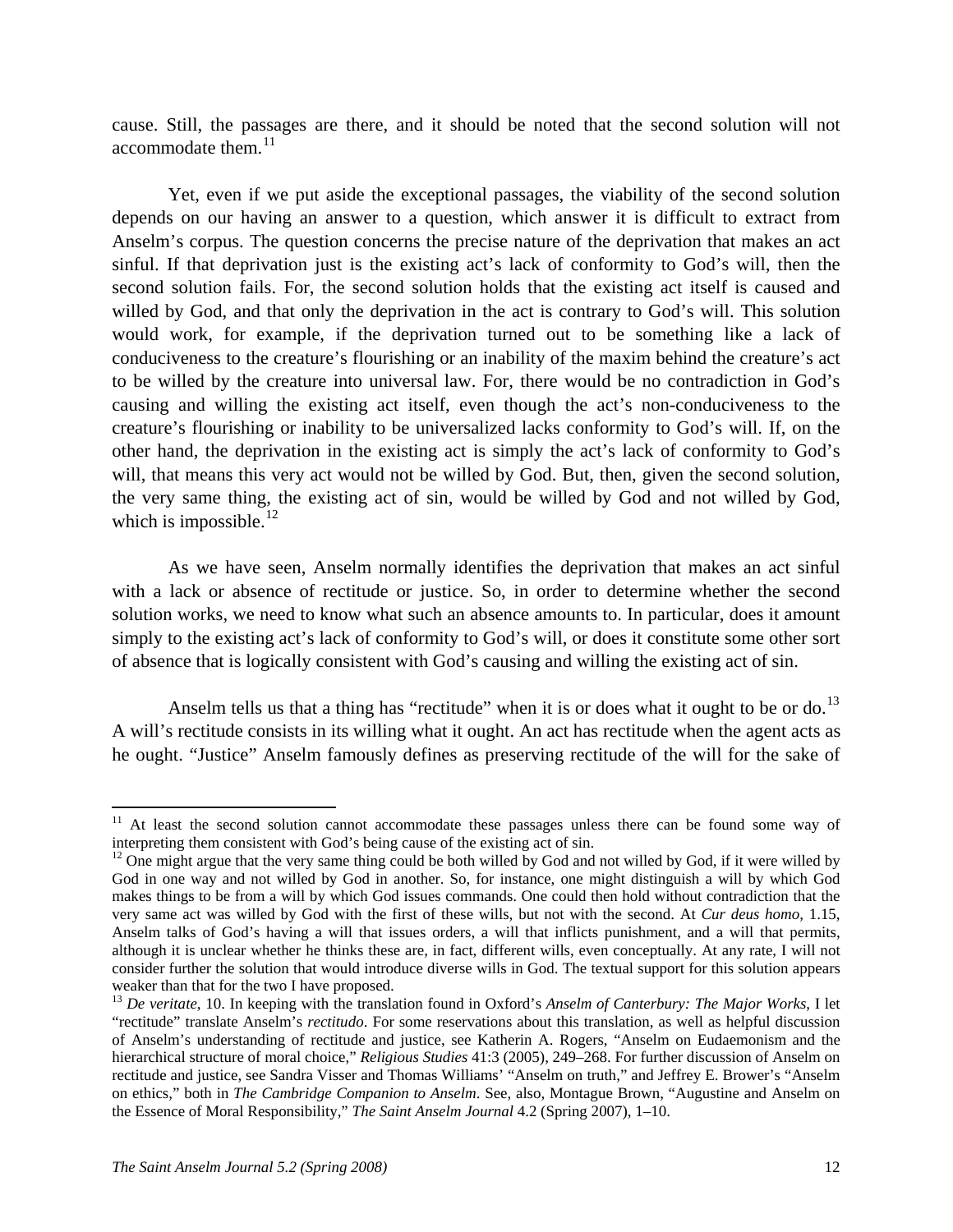cause. Still, the passages are there, and it should be noted that the second solution will not accommodate them. $11$ 

 Yet, even if we put aside the exceptional passages, the viability of the second solution depends on our having an answer to a question, which answer it is difficult to extract from Anselm's corpus. The question concerns the precise nature of the deprivation that makes an act sinful. If that deprivation just is the existing act's lack of conformity to God's will, then the second solution fails. For, the second solution holds that the existing act itself is caused and willed by God, and that only the deprivation in the act is contrary to God's will. This solution would work, for example, if the deprivation turned out to be something like a lack of conduciveness to the creature's flourishing or an inability of the maxim behind the creature's act to be willed by the creature into universal law. For, there would be no contradiction in God's causing and willing the existing act itself, even though the act's non-conduciveness to the creature's flourishing or inability to be universalized lacks conformity to God's will. If, on the other hand, the deprivation in the existing act is simply the act's lack of conformity to God's will, that means this very act would not be willed by God. But, then, given the second solution, the very same thing, the existing act of sin, would be willed by God and not willed by God, which is impossible.<sup>[12](#page-11-1)</sup>

 As we have seen, Anselm normally identifies the deprivation that makes an act sinful with a lack or absence of rectitude or justice. So, in order to determine whether the second solution works, we need to know what such an absence amounts to. In particular, does it amount simply to the existing act's lack of conformity to God's will, or does it constitute some other sort of absence that is logically consistent with God's causing and willing the existing act of sin.

Anselm tells us that a thing has "rectitude" when it is or does what it ought to be or do.<sup>[13](#page-11-2)</sup> A will's rectitude consists in its willing what it ought. An act has rectitude when the agent acts as he ought. "Justice" Anselm famously defines as preserving rectitude of the will for the sake of

<span id="page-11-0"></span><sup>&</sup>lt;sup>11</sup> At least the second solution cannot accommodate these passages unless there can be found some way of interpreting them consistent with God's being cause of the existing act of sin.

<span id="page-11-1"></span> $12$  One might argue that the very same thing could be both willed by God and not willed by God, if it were willed by God in one way and not willed by God in another. So, for instance, one might distinguish a will by which God makes things to be from a will by which God issues commands. One could then hold without contradiction that the very same act was willed by God with the first of these wills, but not with the second. At *Cur deus homo,* 1.15, Anselm talks of God's having a will that issues orders, a will that inflicts punishment, and a will that permits, although it is unclear whether he thinks these are, in fact, different wills, even conceptually. At any rate, I will not consider further the solution that would introduce diverse wills in God. The textual support for this solution appears weaker than that for the two I have proposed.

<span id="page-11-2"></span><sup>13</sup> *De veritate*, 10. In keeping with the translation found in Oxford's *Anselm of Canterbury: The Major Works*, I let "rectitude" translate Anselm's *rectitudo*. For some reservations about this translation, as well as helpful discussion of Anselm's understanding of rectitude and justice, see Katherin A. Rogers, "Anselm on Eudaemonism and the hierarchical structure of moral choice," *Religious Studies* 41:3 (2005), 249–268. For further discussion of Anselm on rectitude and justice, see Sandra Visser and Thomas Williams' "Anselm on truth," and Jeffrey E. Brower's "Anselm on ethics," both in *The Cambridge Companion to Anselm*. See, also, Montague Brown, "Augustine and Anselm on the Essence of Moral Responsibility," *The Saint Anselm Journal* 4.2 (Spring 2007), 1–10.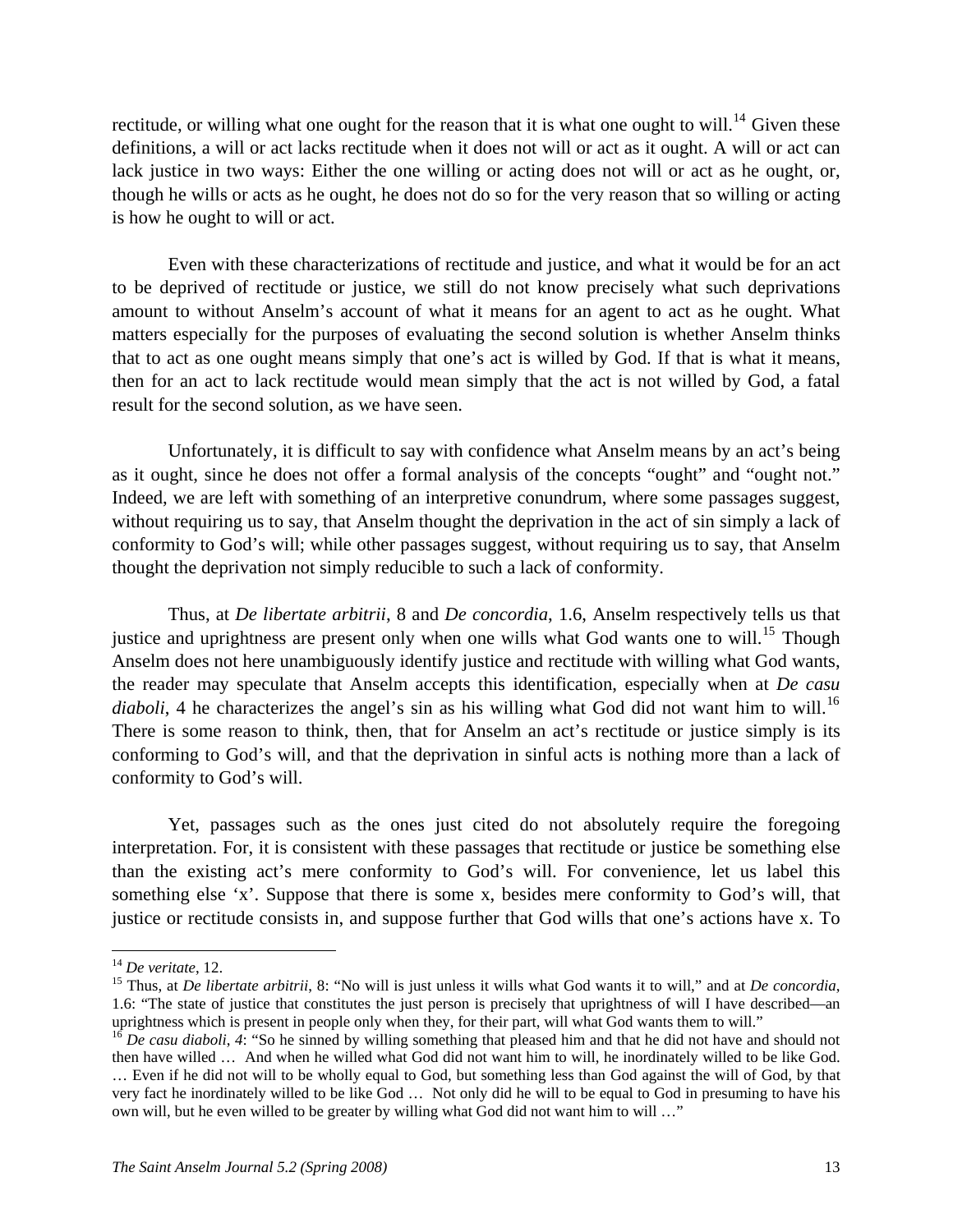rectitude, or willing what one ought for the reason that it is what one ought to will.<sup>[14](#page-12-0)</sup> Given these definitions, a will or act lacks rectitude when it does not will or act as it ought. A will or act can lack justice in two ways: Either the one willing or acting does not will or act as he ought, or, though he wills or acts as he ought, he does not do so for the very reason that so willing or acting is how he ought to will or act.

 Even with these characterizations of rectitude and justice, and what it would be for an act to be deprived of rectitude or justice, we still do not know precisely what such deprivations amount to without Anselm's account of what it means for an agent to act as he ought. What matters especially for the purposes of evaluating the second solution is whether Anselm thinks that to act as one ought means simply that one's act is willed by God. If that is what it means, then for an act to lack rectitude would mean simply that the act is not willed by God, a fatal result for the second solution, as we have seen.

 Unfortunately, it is difficult to say with confidence what Anselm means by an act's being as it ought, since he does not offer a formal analysis of the concepts "ought" and "ought not." Indeed, we are left with something of an interpretive conundrum, where some passages suggest, without requiring us to say, that Anselm thought the deprivation in the act of sin simply a lack of conformity to God's will; while other passages suggest, without requiring us to say, that Anselm thought the deprivation not simply reducible to such a lack of conformity.

 Thus, at *De libertate arbitrii*, 8 and *De concordia*, 1.6, Anselm respectively tells us that justice and uprightness are present only when one wills what God wants one to will.<sup>[15](#page-12-1)</sup> Though Anselm does not here unambiguously identify justice and rectitude with willing what God wants, the reader may speculate that Anselm accepts this identification, especially when at *De casu diaboli*, 4 he characterizes the angel's sin as his willing what God did not want him to will.<sup>[16](#page-12-2)</sup> There is some reason to think, then, that for Anselm an act's rectitude or justice simply is its conforming to God's will, and that the deprivation in sinful acts is nothing more than a lack of conformity to God's will.

 Yet, passages such as the ones just cited do not absolutely require the foregoing interpretation. For, it is consistent with these passages that rectitude or justice be something else than the existing act's mere conformity to God's will. For convenience, let us label this something else 'x'. Suppose that there is some x, besides mere conformity to God's will, that justice or rectitude consists in, and suppose further that God wills that one's actions have x. To

<span id="page-12-0"></span> $14$  De veritate, 12.

<span id="page-12-1"></span><sup>&</sup>lt;sup>15</sup> Thus, at *De libertate arbitrii*, 8: "No will is just unless it wills what God wants it to will," and at *De concordia*, 1.6: "The state of justice that constitutes the just person is precisely that uprightness of will I have described—an uprightness which is present in people only when they, for their part, will what God wants them to will."

<span id="page-12-2"></span><sup>&</sup>lt;sup>16</sup> *De casu diaboli*, 4: "So he sinned by willing something that pleased him and that he did not have and should not then have willed … And when he willed what God did not want him to will, he inordinately willed to be like God. … Even if he did not will to be wholly equal to God, but something less than God against the will of God, by that very fact he inordinately willed to be like God … Not only did he will to be equal to God in presuming to have his own will, but he even willed to be greater by willing what God did not want him to will …"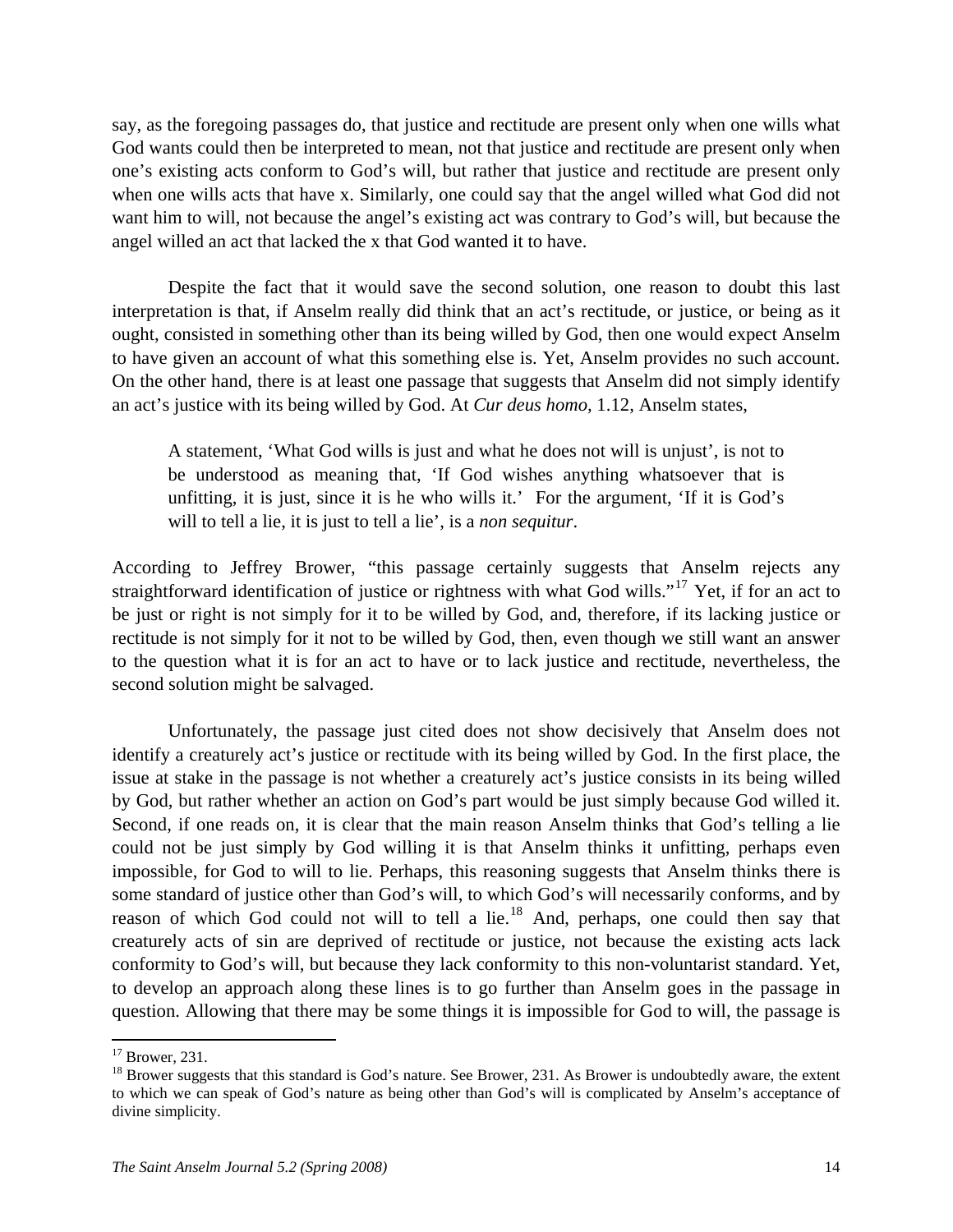say, as the foregoing passages do, that justice and rectitude are present only when one wills what God wants could then be interpreted to mean, not that justice and rectitude are present only when one's existing acts conform to God's will, but rather that justice and rectitude are present only when one wills acts that have x. Similarly, one could say that the angel willed what God did not want him to will, not because the angel's existing act was contrary to God's will, but because the angel willed an act that lacked the x that God wanted it to have.

 Despite the fact that it would save the second solution, one reason to doubt this last interpretation is that, if Anselm really did think that an act's rectitude, or justice, or being as it ought, consisted in something other than its being willed by God, then one would expect Anselm to have given an account of what this something else is. Yet, Anselm provides no such account. On the other hand, there is at least one passage that suggests that Anselm did not simply identify an act's justice with its being willed by God. At *Cur deus homo,* 1.12, Anselm states,

A statement, 'What God wills is just and what he does not will is unjust', is not to be understood as meaning that, 'If God wishes anything whatsoever that is unfitting, it is just, since it is he who wills it.' For the argument, 'If it is God's will to tell a lie, it is just to tell a lie', is a *non sequitur*.

According to Jeffrey Brower, "this passage certainly suggests that Anselm rejects any straightforward identification of justice or rightness with what God wills."[17](#page-13-0) Yet, if for an act to be just or right is not simply for it to be willed by God, and, therefore, if its lacking justice or rectitude is not simply for it not to be willed by God, then, even though we still want an answer to the question what it is for an act to have or to lack justice and rectitude, nevertheless, the second solution might be salvaged.

 Unfortunately, the passage just cited does not show decisively that Anselm does not identify a creaturely act's justice or rectitude with its being willed by God. In the first place, the issue at stake in the passage is not whether a creaturely act's justice consists in its being willed by God, but rather whether an action on God's part would be just simply because God willed it. Second, if one reads on, it is clear that the main reason Anselm thinks that God's telling a lie could not be just simply by God willing it is that Anselm thinks it unfitting, perhaps even impossible, for God to will to lie. Perhaps, this reasoning suggests that Anselm thinks there is some standard of justice other than God's will, to which God's will necessarily conforms, and by reason of which God could not will to tell a lie.<sup>[18](#page-13-1)</sup> And, perhaps, one could then say that creaturely acts of sin are deprived of rectitude or justice, not because the existing acts lack conformity to God's will, but because they lack conformity to this non-voluntarist standard. Yet, to develop an approach along these lines is to go further than Anselm goes in the passage in question. Allowing that there may be some things it is impossible for God to will, the passage is

 $17$  Brower, 231.

<span id="page-13-1"></span><span id="page-13-0"></span> $18$  Brower suggests that this standard is God's nature. See Brower, 231. As Brower is undoubtedly aware, the extent to which we can speak of God's nature as being other than God's will is complicated by Anselm's acceptance of divine simplicity.